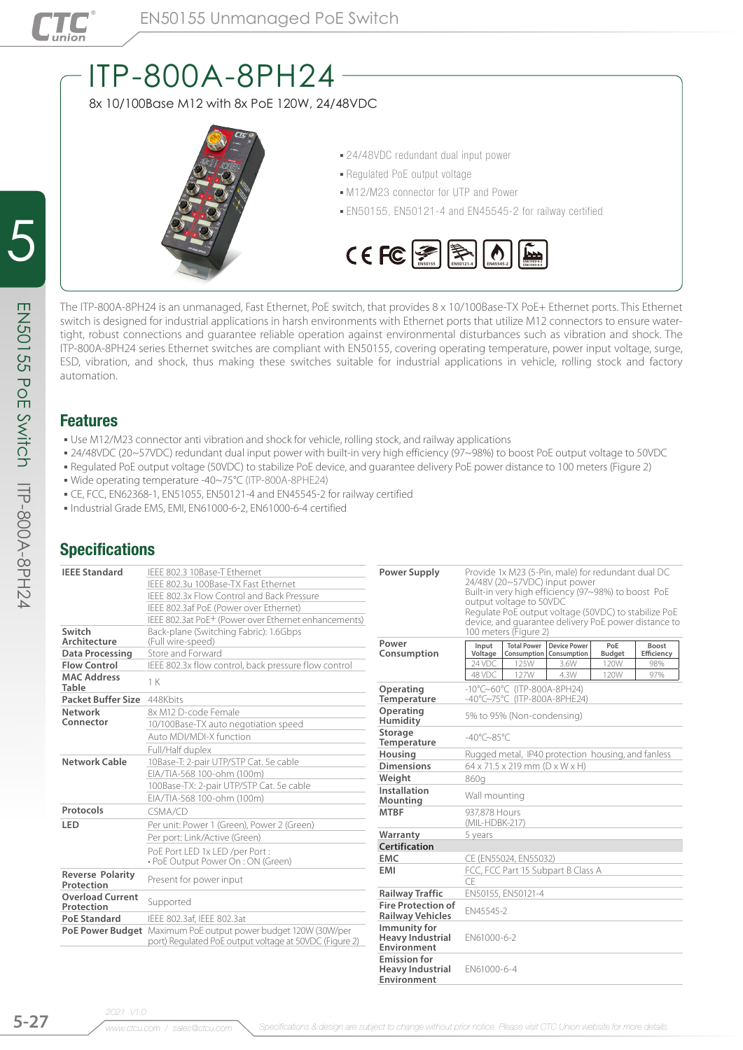

# ITP-800A-8PH24

8x 10/100Base M12 with 8x PoE 120W, 24/48VDC



- 24/48VDC redundant dual input power
- Regulated PoE output voltage
- $-M12/M23$  connector for UTP and Power
- EN50155, EN50121-4 and EN45545-2 for railway certified



The ITP-800A-8PH24 is an unmanaged, Fast Ethernet, PoE switch, that provides 8 x 10/100Base-TX PoE+ Ethernet ports. This Ethernet switch is designed for industrial applications in harsh environments with Ethernet ports that utilize M12 connectors to ensure watertight, robust connections and guarantee reliable operation against environmental disturbances such as vibration and shock. The ITP-800A-8PH24 series Ethernet switches are compliant with EN50155, covering operating temperature, power input voltage, surge, ESD, vibration, and shock, thus making these switches suitable for industrial applications in vehicle, rolling stock and factory automation.

## Features

- . Use M12/M23 connector anti vibration and shock for vehicle, rolling stock, and railway applications
- 24/48VDC (20~57VDC) redundant dual input power with built-in very high efficiency (97~98%) to boost PoE output voltage to 50VDC
- Regulated PoE output voltage (50VDC) to stabilize PoE device, and guarantee delivery PoE power distance to 100 meters (Figure 2)
- Wide operating temperature -40~75°C (ITP-800A-8PHE24)
- CE, FCC, EN62368-1, EN51055, EN50121-4 and EN45545-2 for railway certified
- Industrial Grade EMS, EMI, EN61000-6-2, EN61000-6-4 certified

## **Specifications**

| <b>IEEE Standard</b>                  | IEEE 802.3 10Base-T Ethernet                                                                                             | <b>Power Supply</b>                                    | Provide 1x M23 (5-Pin, male) for redundant dual DC<br>24/48V (20~57VDC) input power<br>Built-in very high efficiency (97~98%) to boost PoE<br>output voltage to 50VDC<br>Regulate PoE output voltage (50VDC) to stabilize PoE<br>device, and quarantee delivery PoE power distance to |                           |      |               |            |  |  |  |
|---------------------------------------|--------------------------------------------------------------------------------------------------------------------------|--------------------------------------------------------|---------------------------------------------------------------------------------------------------------------------------------------------------------------------------------------------------------------------------------------------------------------------------------------|---------------------------|------|---------------|------------|--|--|--|
|                                       | IFFF 802.3u 100Base-TX Fast Ethernet                                                                                     |                                                        |                                                                                                                                                                                                                                                                                       |                           |      |               |            |  |  |  |
|                                       | IEEE 802.3x Flow Control and Back Pressure                                                                               |                                                        |                                                                                                                                                                                                                                                                                       |                           |      |               |            |  |  |  |
|                                       | IEEE 802.3af PoE (Power over Ethernet)                                                                                   |                                                        |                                                                                                                                                                                                                                                                                       |                           |      |               |            |  |  |  |
|                                       | IEEE 802.3at PoE <sup>+</sup> (Power over Ethernet enhancements)                                                         |                                                        |                                                                                                                                                                                                                                                                                       |                           |      |               |            |  |  |  |
| Switch<br>Architecture                | Back-plane (Switching Fabric): 1.6Gbps<br>(Full wire-speed)                                                              | Power                                                  | 100 meters (Figure 2)<br><b>Total Power</b><br><b>Device Power</b><br>Input<br>PoE<br>Boost                                                                                                                                                                                           |                           |      |               |            |  |  |  |
| Data Processing                       | Store and Forward                                                                                                        | Consumption                                            | Voltage                                                                                                                                                                                                                                                                               | Consumption   Consumption |      | <b>Budget</b> | Efficiency |  |  |  |
| <b>Flow Control</b>                   | IEEE 802.3x flow control, back pressure flow control                                                                     |                                                        | 24 VDC                                                                                                                                                                                                                                                                                | 125W                      | 3.6W | 120W          | 98%        |  |  |  |
| <b>MAC Address</b><br><b>Table</b>    | 1 K                                                                                                                      | Operating                                              | 48 VDC                                                                                                                                                                                                                                                                                | 127W                      | 4.3W | 120W          | 97%        |  |  |  |
| Packet Buffer Size 448Kbits           |                                                                                                                          | Temperature                                            | $-10^{\circ}$ C $\sim$ 60°C (ITP-800A-8PH24)<br>-40°C~75°C (ITP-800A-8PHE24)                                                                                                                                                                                                          |                           |      |               |            |  |  |  |
| Network<br>Connector                  | 8x M12 D-code Female<br>10/100Base-TX auto negotiation speed                                                             | Operating<br>Humidity                                  | 5% to 95% (Non-condensing)                                                                                                                                                                                                                                                            |                           |      |               |            |  |  |  |
|                                       | Auto MDI/MDI-X function                                                                                                  | Storage<br>Temperature                                 | $-40^{\circ}$ C $\sim$ 85 $^{\circ}$ C                                                                                                                                                                                                                                                |                           |      |               |            |  |  |  |
|                                       | Full/Half duplex                                                                                                         | Housina                                                | Rugged metal, IP40 protection housing, and fanless                                                                                                                                                                                                                                    |                           |      |               |            |  |  |  |
| Network Cable                         | 10Base-T: 2-pair UTP/STP Cat. 5e cable                                                                                   | <b>Dimensions</b>                                      | $64 \times 71.5 \times 219$ mm $(D \times W \times H)$                                                                                                                                                                                                                                |                           |      |               |            |  |  |  |
|                                       | EIA/TIA-568 100-ohm (100m)                                                                                               | Weight                                                 | 860a                                                                                                                                                                                                                                                                                  |                           |      |               |            |  |  |  |
|                                       | 100Base-TX: 2-pair UTP/STP Cat. 5e cable                                                                                 | Installation                                           | Wall mounting                                                                                                                                                                                                                                                                         |                           |      |               |            |  |  |  |
|                                       | EIA/TIA-568 100-ohm (100m)                                                                                               | Mounting                                               |                                                                                                                                                                                                                                                                                       |                           |      |               |            |  |  |  |
| Protocols                             | CSMA/CD                                                                                                                  | <b>MTBF</b>                                            | 937.878 Hours                                                                                                                                                                                                                                                                         |                           |      |               |            |  |  |  |
| <b>LED</b>                            | Per unit: Power 1 (Green), Power 2 (Green)                                                                               |                                                        | (MIL-HDBK-217)                                                                                                                                                                                                                                                                        |                           |      |               |            |  |  |  |
|                                       | Per port: Link/Active (Green)                                                                                            | Warranty                                               | 5 years                                                                                                                                                                                                                                                                               |                           |      |               |            |  |  |  |
|                                       | PoE Port LED 1x LED /per Port:                                                                                           | Certification                                          |                                                                                                                                                                                                                                                                                       |                           |      |               |            |  |  |  |
|                                       | • PoE Output Power On : ON (Green)                                                                                       | <b>EMC</b>                                             | CE (EN55024, EN55032)                                                                                                                                                                                                                                                                 |                           |      |               |            |  |  |  |
| <b>Reverse Polarity</b>               |                                                                                                                          | <b>EMI</b>                                             | FCC, FCC Part 15 Subpart B Class A                                                                                                                                                                                                                                                    |                           |      |               |            |  |  |  |
| Protection                            | Present for power input                                                                                                  |                                                        | CF                                                                                                                                                                                                                                                                                    |                           |      |               |            |  |  |  |
| <b>Overload Current</b><br>Protection | Supported                                                                                                                | <b>Railway Traffic</b><br><b>Fire Protection of</b>    |                                                                                                                                                                                                                                                                                       | EN50155, EN50121-4        |      |               |            |  |  |  |
| <b>PoE Standard</b>                   | IEEE 802.3af. IEEE 802.3at                                                                                               | <b>Railway Vehicles</b>                                | EN45545-2                                                                                                                                                                                                                                                                             |                           |      |               |            |  |  |  |
|                                       | PoE Power Budget Maximum PoE output power budget 120W (30W/per<br>port) Regulated PoE output voltage at 50VDC (Figure 2) | Immunity for<br><b>Heavy Industrial</b><br>Environment | EN61000-6-2                                                                                                                                                                                                                                                                           |                           |      |               |            |  |  |  |
|                                       |                                                                                                                          | <b>Emission for</b><br><b>Heavy Industrial</b>         | EN61000-6-4                                                                                                                                                                                                                                                                           |                           |      |               |            |  |  |  |

ITP-800A-8PH24

**Environment**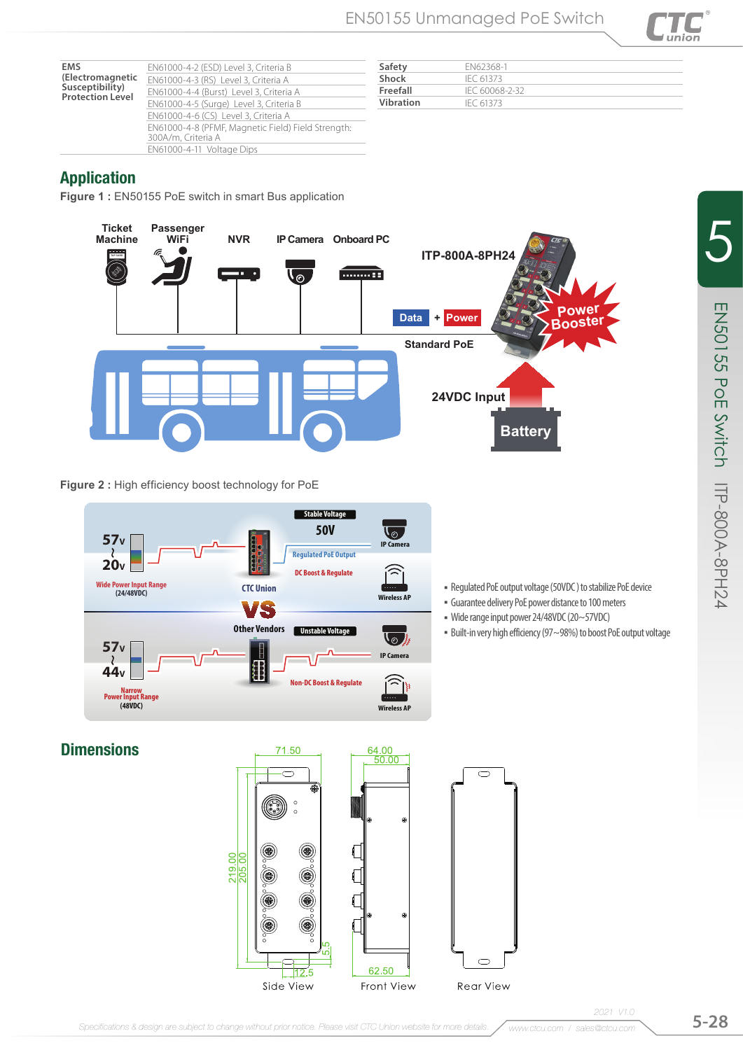

| Safety    | FN62368-1      |
|-----------|----------------|
| Shock     | IFC 61373      |
| Freefall  | IFC 60068-2-32 |
| Vibration | IFC 61373      |

## Application

**EMS** 

**Figure 1 :** EN50155 PoE switch in smart Bus application



**Figure 2 :** High efficiency boost technology for PoE



**Dimensions** 





ITP-800A-8PH24

5

EN50155 PoE Switch

EN50155 PoE Switch IIP-800A-8PH24

*2021 V1.0*